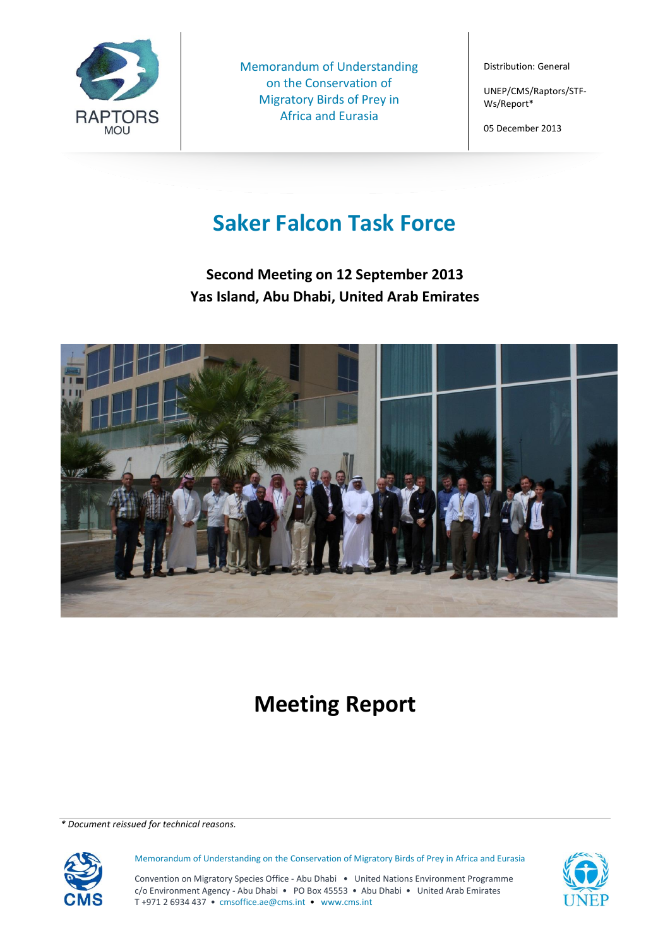

Memorandum of Understanding on the Conservation of Migratory Birds of Prey in Africa and Eurasia

Distribution: General

UNEP/CMS/Raptors/STF-Ws/Report\*

05 December 2013

# **Saker Falcon Task Force**

**Second Meeting on 12 September 2013 Yas Island, Abu Dhabi, United Arab Emirates**



# **Meeting Report**

*\* Document reissued for technical reasons.*



Memorandum of Understanding on the Conservation of Migratory Birds of Prey in Africa and Eurasia

Convention on Migratory Species Office - Abu Dhabi • United Nations Environment Programme c/o Environment Agency - Abu Dhabi • PO Box 45553 • Abu Dhabi • United Arab Emirates T +971 2 6934 437 • cmsoffice.ae@cms.int • www.cms.int

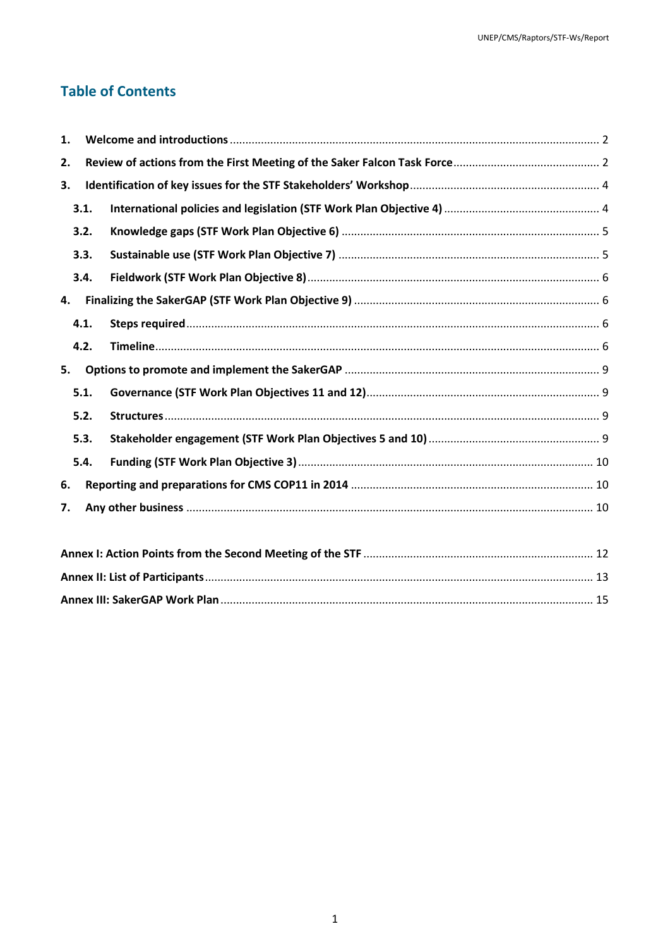# **Table of Contents**

| 1. |      |  |  |  |  |  |
|----|------|--|--|--|--|--|
| 2. |      |  |  |  |  |  |
| 3. |      |  |  |  |  |  |
|    | 3.1. |  |  |  |  |  |
|    | 3.2. |  |  |  |  |  |
|    | 3.3. |  |  |  |  |  |
|    | 3.4. |  |  |  |  |  |
| 4. |      |  |  |  |  |  |
|    | 4.1. |  |  |  |  |  |
|    | 4.2. |  |  |  |  |  |
| 5. |      |  |  |  |  |  |
|    | 5.1. |  |  |  |  |  |
|    | 5.2. |  |  |  |  |  |
|    | 5.3. |  |  |  |  |  |
|    | 5.4. |  |  |  |  |  |
| 6. |      |  |  |  |  |  |
| 7. |      |  |  |  |  |  |
|    |      |  |  |  |  |  |
|    |      |  |  |  |  |  |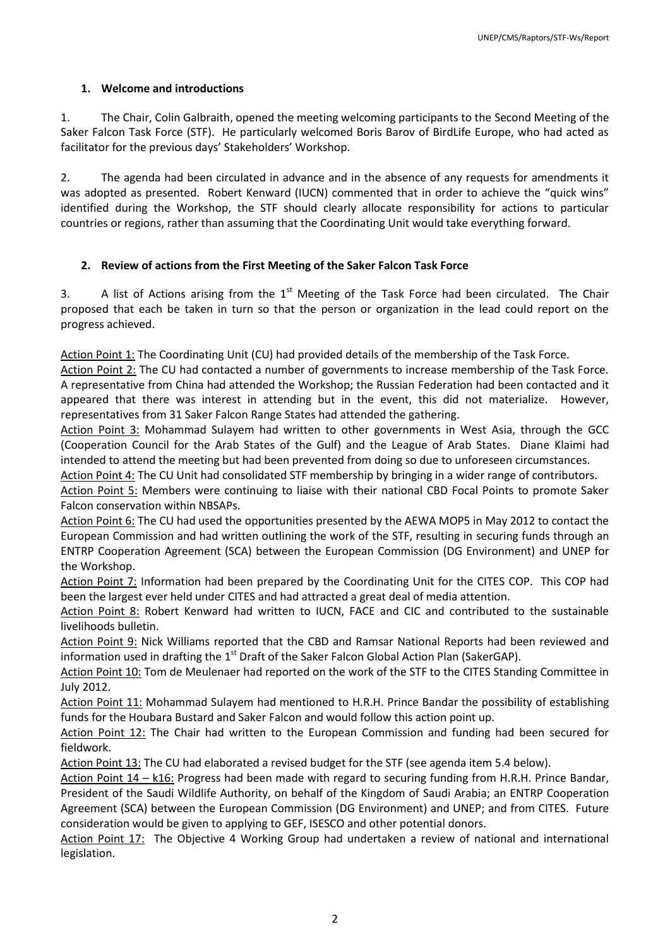# <span id="page-2-0"></span>**1. Welcome and introductions**

1. The Chair, Colin Galbraith, opened the meeting welcoming participants to the Second Meeting of the Saker Falcon Task Force (STF). He particularly welcomed Boris Barov of BirdLife Europe, who had acted as facilitator for the previous days' Stakeholders' Workshop.

2. The agenda had been circulated in advance and in the absence of any requests for amendments it was adopted as presented. Robert Kenward (IUCN) commented that in order to achieve the "quick wins" identified during the Workshop, the STF should clearly allocate responsibility for actions to particular countries or regions, rather than assuming that the Coordinating Unit would take everything forward.

# <span id="page-2-1"></span>**2. Review of actions from the First Meeting of the Saker Falcon Task Force**

3. A list of Actions arising from the  $1<sup>st</sup>$  Meeting of the Task Force had been circulated. The Chair proposed that each be taken in turn so that the person or organization in the lead could report on the progress achieved.

Action Point 1: The Coordinating Unit (CU) had provided details of the membership of the Task Force.

Action Point 2: The CU had contacted a number of governments to increase membership of the Task Force. A representative from China had attended the Workshop; the Russian Federation had been contacted and it appeared that there was interest in attending but in the event, this did not materialize. However, representatives from 31 Saker Falcon Range States had attended the gathering.

Action Point 3: Mohammad Sulayem had written to other governments in West Asia, through the GCC (Cooperation Council for the Arab States of the Gulf) and the League of Arab States. Diane Klaimi had intended to attend the meeting but had been prevented from doing so due to unforeseen circumstances.

Action Point 4: The CU Unit had consolidated STF membership by bringing in a wider range of contributors.

Action Point 5: Members were continuing to liaise with their national CBD Focal Points to promote Saker Falcon conservation within NBSAPs.

Action Point 6: The CU had used the opportunities presented by the AEWA MOP5 in May 2012 to contact the European Commission and had written outlining the work of the STF, resulting in securing funds through an ENTRP Cooperation Agreement (SCA) between the European Commission (DG Environment) and UNEP for the Workshop.

Action Point 7: Information had been prepared by the Coordinating Unit for the CITES COP. This COP had been the largest ever held under CITES and had attracted a great deal of media attention.

Action Point 8: Robert Kenward had written to IUCN, FACE and CIC and contributed to the sustainable livelihoods bulletin.

Action Point 9: Nick Williams reported that the CBD and Ramsar National Reports had been reviewed and information used in drafting the  $1<sup>st</sup>$  Draft of the Saker Falcon Global Action Plan (SakerGAP).

Action Point 10: Tom de Meulenaer had reported on the work of the STF to the CITES Standing Committee in July 2012.

Action Point 11: Mohammad Sulayem had mentioned to H.R.H. Prince Bandar the possibility of establishing funds for the Houbara Bustard and Saker Falcon and would follow this action point up.

Action Point 12: The Chair had written to the European Commission and funding had been secured for fieldwork.

Action Point 13: The CU had elaborated a revised budget for the STF (see agenda item 5.4 below).

Action Point 14 – k16: Progress had been made with regard to securing funding from H.R.H. Prince Bandar, President of the Saudi Wildlife Authority, on behalf of the Kingdom of Saudi Arabia; an ENTRP Cooperation Agreement (SCA) between the European Commission (DG Environment) and UNEP; and from CITES. Future consideration would be given to applying to GEF, ISESCO and other potential donors.

Action Point 17: The Objective 4 Working Group had undertaken a review of national and international legislation.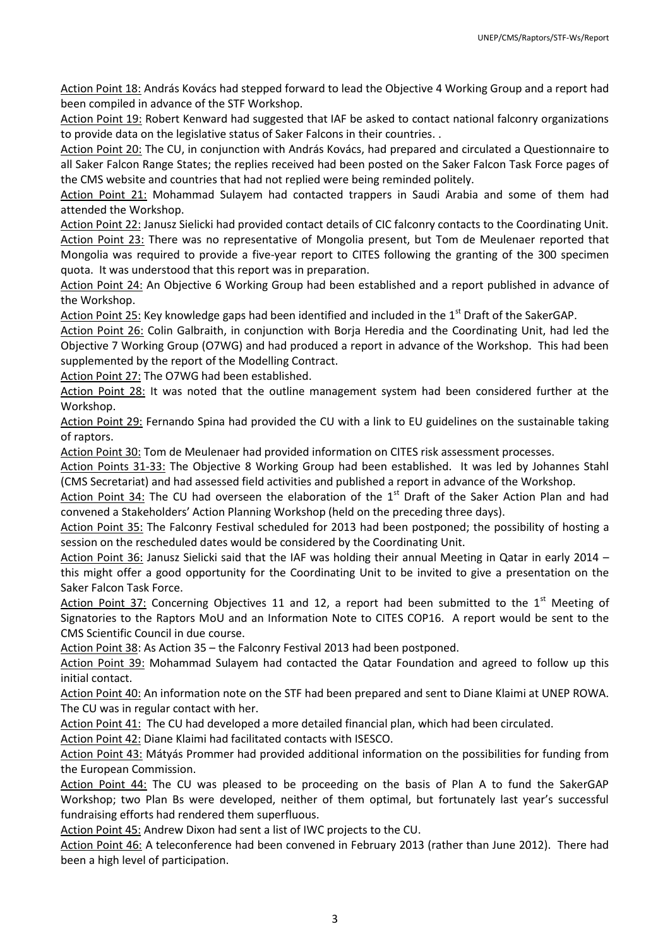Action Point 18: András Kovács had stepped forward to lead the Objective 4 Working Group and a report had been compiled in advance of the STF Workshop.

Action Point 19: Robert Kenward had suggested that IAF be asked to contact national falconry organizations to provide data on the legislative status of Saker Falcons in their countries. .

Action Point 20: The CU, in conjunction with András Kovács, had prepared and circulated a Questionnaire to all Saker Falcon Range States; the replies received had been posted on the Saker Falcon Task Force pages of the CMS website and countries that had not replied were being reminded politely.

Action Point 21: Mohammad Sulayem had contacted trappers in Saudi Arabia and some of them had attended the Workshop.

Action Point 22: Janusz Sielicki had provided contact details of CIC falconry contacts to the Coordinating Unit. Action Point 23: There was no representative of Mongolia present, but Tom de Meulenaer reported that Mongolia was required to provide a five-year report to CITES following the granting of the 300 specimen quota. It was understood that this report was in preparation.

Action Point 24: An Objective 6 Working Group had been established and a report published in advance of the Workshop.

Action Point 25: Key knowledge gaps had been identified and included in the 1<sup>st</sup> Draft of the SakerGAP.

Action Point 26: Colin Galbraith, in conjunction with Borja Heredia and the Coordinating Unit, had led the Objective 7 Working Group (O7WG) and had produced a report in advance of the Workshop. This had been supplemented by the report of the Modelling Contract.

Action Point 27: The O7WG had been established.

Action Point 28: It was noted that the outline management system had been considered further at the Workshop.

Action Point 29: Fernando Spina had provided the CU with a link to EU guidelines on the sustainable taking of raptors.

Action Point 30: Tom de Meulenaer had provided information on CITES risk assessment processes.

Action Points 31-33: The Objective 8 Working Group had been established. It was led by Johannes Stahl (CMS Secretariat) and had assessed field activities and published a report in advance of the Workshop.

Action Point 34: The CU had overseen the elaboration of the  $1<sup>st</sup>$  Draft of the Saker Action Plan and had convened a Stakeholders' Action Planning Workshop (held on the preceding three days).

Action Point 35: The Falconry Festival scheduled for 2013 had been postponed; the possibility of hosting a session on the rescheduled dates would be considered by the Coordinating Unit.

Action Point 36: Janusz Sielicki said that the IAF was holding their annual Meeting in Qatar in early 2014 – this might offer a good opportunity for the Coordinating Unit to be invited to give a presentation on the Saker Falcon Task Force.

Action Point 37: Concerning Objectives 11 and 12, a report had been submitted to the  $1<sup>st</sup>$  Meeting of Signatories to the Raptors MoU and an Information Note to CITES COP16. A report would be sent to the CMS Scientific Council in due course.

Action Point 38: As Action 35 – the Falconry Festival 2013 had been postponed.

Action Point 39: Mohammad Sulayem had contacted the Qatar Foundation and agreed to follow up this initial contact.

Action Point 40: An information note on the STF had been prepared and sent to Diane Klaimi at UNEP ROWA. The CU was in regular contact with her.

Action Point 41: The CU had developed a more detailed financial plan, which had been circulated.

Action Point 42: Diane Klaimi had facilitated contacts with ISESCO.

Action Point 43: Mátyás Prommer had provided additional information on the possibilities for funding from the European Commission.

Action Point 44: The CU was pleased to be proceeding on the basis of Plan A to fund the SakerGAP Workshop; two Plan Bs were developed, neither of them optimal, but fortunately last year's successful fundraising efforts had rendered them superfluous.

Action Point 45: Andrew Dixon had sent a list of IWC projects to the CU.

Action Point 46: A teleconference had been convened in February 2013 (rather than June 2012). There had been a high level of participation.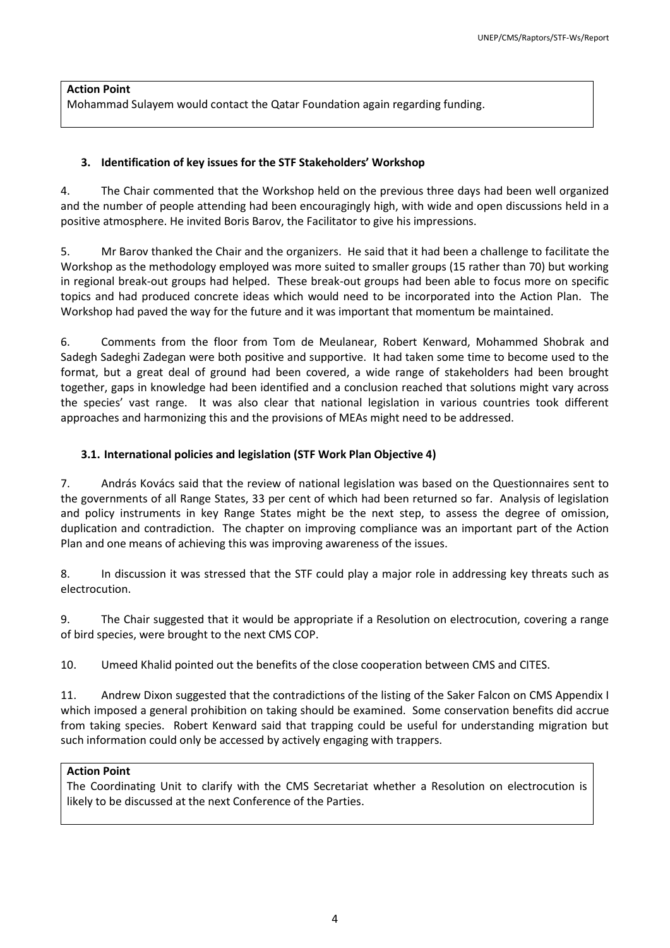# **Action Point**

<span id="page-4-0"></span>Mohammad Sulayem would contact the Qatar Foundation again regarding funding.

# **3. Identification of key issues for the STF Stakeholders' Workshop**

4. The Chair commented that the Workshop held on the previous three days had been well organized and the number of people attending had been encouragingly high, with wide and open discussions held in a positive atmosphere. He invited Boris Barov, the Facilitator to give his impressions.

5. Mr Barov thanked the Chair and the organizers. He said that it had been a challenge to facilitate the Workshop as the methodology employed was more suited to smaller groups (15 rather than 70) but working in regional break-out groups had helped. These break-out groups had been able to focus more on specific topics and had produced concrete ideas which would need to be incorporated into the Action Plan. The Workshop had paved the way for the future and it was important that momentum be maintained.

6. Comments from the floor from Tom de Meulanear, Robert Kenward, Mohammed Shobrak and Sadegh Sadeghi Zadegan were both positive and supportive. It had taken some time to become used to the format, but a great deal of ground had been covered, a wide range of stakeholders had been brought together, gaps in knowledge had been identified and a conclusion reached that solutions might vary across the species' vast range. It was also clear that national legislation in various countries took different approaches and harmonizing this and the provisions of MEAs might need to be addressed.

# <span id="page-4-1"></span>**3.1. International policies and legislation (STF Work Plan Objective 4)**

7. András Kovács said that the review of national legislation was based on the Questionnaires sent to the governments of all Range States, 33 per cent of which had been returned so far. Analysis of legislation and policy instruments in key Range States might be the next step, to assess the degree of omission, duplication and contradiction. The chapter on improving compliance was an important part of the Action Plan and one means of achieving this was improving awareness of the issues.

8. In discussion it was stressed that the STF could play a major role in addressing key threats such as electrocution.

9. The Chair suggested that it would be appropriate if a Resolution on electrocution, covering a range of bird species, were brought to the next CMS COP.

10. Umeed Khalid pointed out the benefits of the close cooperation between CMS and CITES.

11. Andrew Dixon suggested that the contradictions of the listing of the Saker Falcon on CMS Appendix I which imposed a general prohibition on taking should be examined. Some conservation benefits did accrue from taking species. Robert Kenward said that trapping could be useful for understanding migration but such information could only be accessed by actively engaging with trappers.

# **Action Point**

The Coordinating Unit to clarify with the CMS Secretariat whether a Resolution on electrocution is likely to be discussed at the next Conference of the Parties.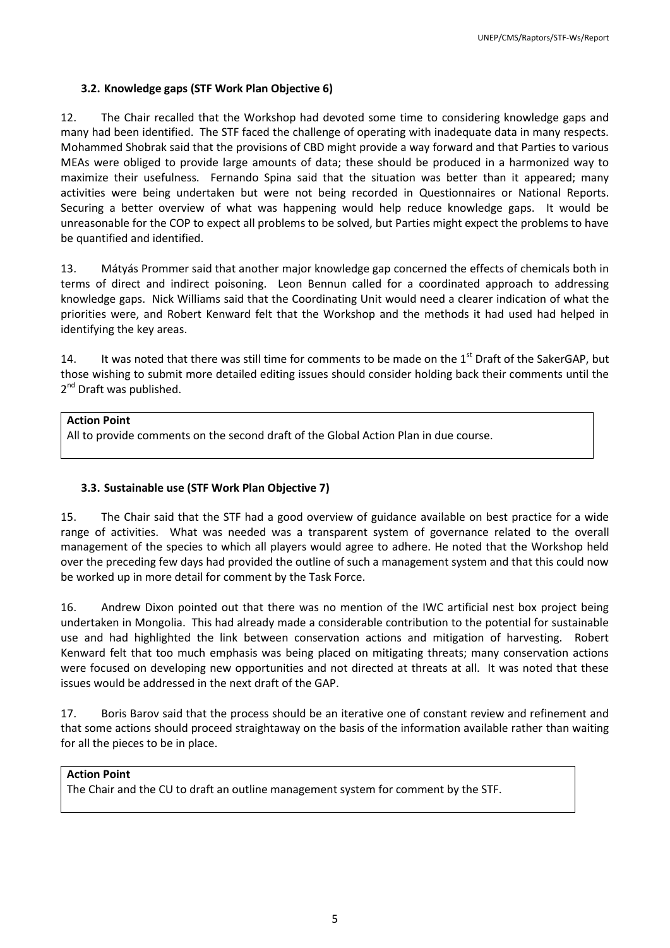# <span id="page-5-0"></span>**3.2. Knowledge gaps (STF Work Plan Objective 6)**

12. The Chair recalled that the Workshop had devoted some time to considering knowledge gaps and many had been identified. The STF faced the challenge of operating with inadequate data in many respects. Mohammed Shobrak said that the provisions of CBD might provide a way forward and that Parties to various MEAs were obliged to provide large amounts of data; these should be produced in a harmonized way to maximize their usefulness. Fernando Spina said that the situation was better than it appeared; many activities were being undertaken but were not being recorded in Questionnaires or National Reports. Securing a better overview of what was happening would help reduce knowledge gaps. It would be unreasonable for the COP to expect all problems to be solved, but Parties might expect the problems to have be quantified and identified.

13. Mátyás Prommer said that another major knowledge gap concerned the effects of chemicals both in terms of direct and indirect poisoning. Leon Bennun called for a coordinated approach to addressing knowledge gaps. Nick Williams said that the Coordinating Unit would need a clearer indication of what the priorities were, and Robert Kenward felt that the Workshop and the methods it had used had helped in identifying the key areas.

14. It was noted that there was still time for comments to be made on the  $1^{st}$  Draft of the SakerGAP, but those wishing to submit more detailed editing issues should consider holding back their comments until the 2<sup>nd</sup> Draft was published.

#### **Action Point**

All to provide comments on the second draft of the Global Action Plan in due course.

#### <span id="page-5-1"></span>**3.3. Sustainable use (STF Work Plan Objective 7)**

15. The Chair said that the STF had a good overview of guidance available on best practice for a wide range of activities. What was needed was a transparent system of governance related to the overall management of the species to which all players would agree to adhere. He noted that the Workshop held over the preceding few days had provided the outline of such a management system and that this could now be worked up in more detail for comment by the Task Force.

16. Andrew Dixon pointed out that there was no mention of the IWC artificial nest box project being undertaken in Mongolia. This had already made a considerable contribution to the potential for sustainable use and had highlighted the link between conservation actions and mitigation of harvesting. Robert Kenward felt that too much emphasis was being placed on mitigating threats; many conservation actions were focused on developing new opportunities and not directed at threats at all. It was noted that these issues would be addressed in the next draft of the GAP.

17. Boris Barov said that the process should be an iterative one of constant review and refinement and that some actions should proceed straightaway on the basis of the information available rather than waiting for all the pieces to be in place.

# **Action Point**

The Chair and the CU to draft an outline management system for comment by the STF.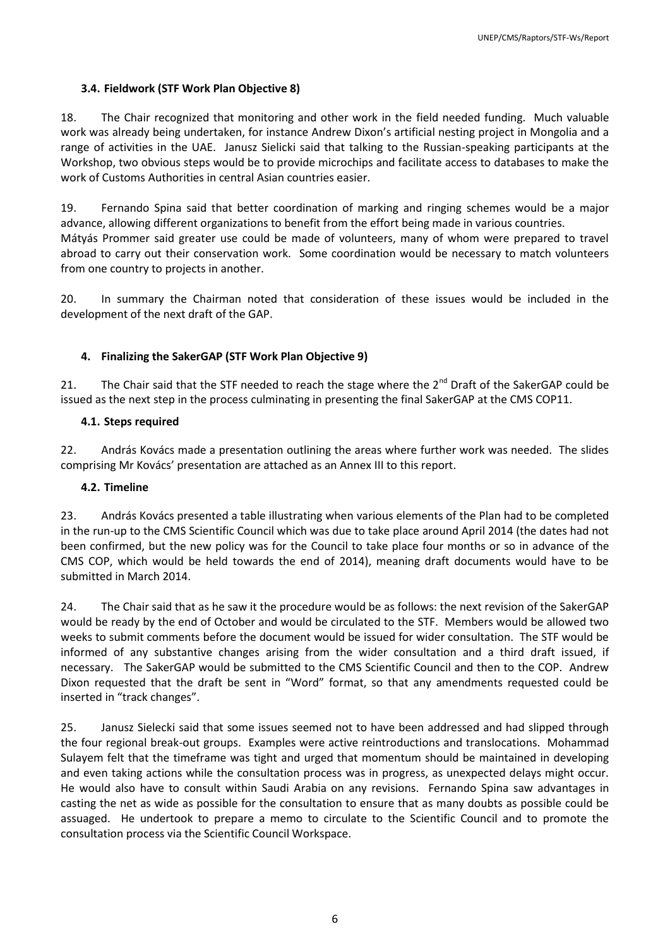#### <span id="page-6-0"></span>**3.4. Fieldwork (STF Work Plan Objective 8)**

18. The Chair recognized that monitoring and other work in the field needed funding. Much valuable work was already being undertaken, for instance Andrew Dixon's artificial nesting project in Mongolia and a range of activities in the UAE. Janusz Sielicki said that talking to the Russian-speaking participants at the Workshop, two obvious steps would be to provide microchips and facilitate access to databases to make the work of Customs Authorities in central Asian countries easier.

19. Fernando Spina said that better coordination of marking and ringing schemes would be a major advance, allowing different organizations to benefit from the effort being made in various countries. Mátyás Prommer said greater use could be made of volunteers, many of whom were prepared to travel abroad to carry out their conservation work. Some coordination would be necessary to match volunteers from one country to projects in another.

<span id="page-6-1"></span>20. In summary the Chairman noted that consideration of these issues would be included in the development of the next draft of the GAP.

#### **4. Finalizing the SakerGAP (STF Work Plan Objective 9)**

21. The Chair said that the STF needed to reach the stage where the  $2^{nd}$  Draft of the SakerGAP could be issued as the next step in the process culminating in presenting the final SakerGAP at the CMS COP11.

#### <span id="page-6-2"></span>**4.1. Steps required**

22. András Kovács made a presentation outlining the areas where further work was needed. The slides comprising Mr Kovács' presentation are attached as an Annex III to this report.

#### <span id="page-6-3"></span>**4.2. Timeline**

23. András Kovács presented a table illustrating when various elements of the Plan had to be completed in the run-up to the CMS Scientific Council which was due to take place around April 2014 (the dates had not been confirmed, but the new policy was for the Council to take place four months or so in advance of the CMS COP, which would be held towards the end of 2014), meaning draft documents would have to be submitted in March 2014.

24. The Chair said that as he saw it the procedure would be as follows: the next revision of the SakerGAP would be ready by the end of October and would be circulated to the STF. Members would be allowed two weeks to submit comments before the document would be issued for wider consultation. The STF would be informed of any substantive changes arising from the wider consultation and a third draft issued, if necessary. The SakerGAP would be submitted to the CMS Scientific Council and then to the COP. Andrew Dixon requested that the draft be sent in "Word" format, so that any amendments requested could be inserted in "track changes".

25. Janusz Sielecki said that some issues seemed not to have been addressed and had slipped through the four regional break-out groups. Examples were active reintroductions and translocations. Mohammad Sulayem felt that the timeframe was tight and urged that momentum should be maintained in developing and even taking actions while the consultation process was in progress, as unexpected delays might occur. He would also have to consult within Saudi Arabia on any revisions. Fernando Spina saw advantages in casting the net as wide as possible for the consultation to ensure that as many doubts as possible could be assuaged. He undertook to prepare a memo to circulate to the Scientific Council and to promote the consultation process via the Scientific Council Workspace.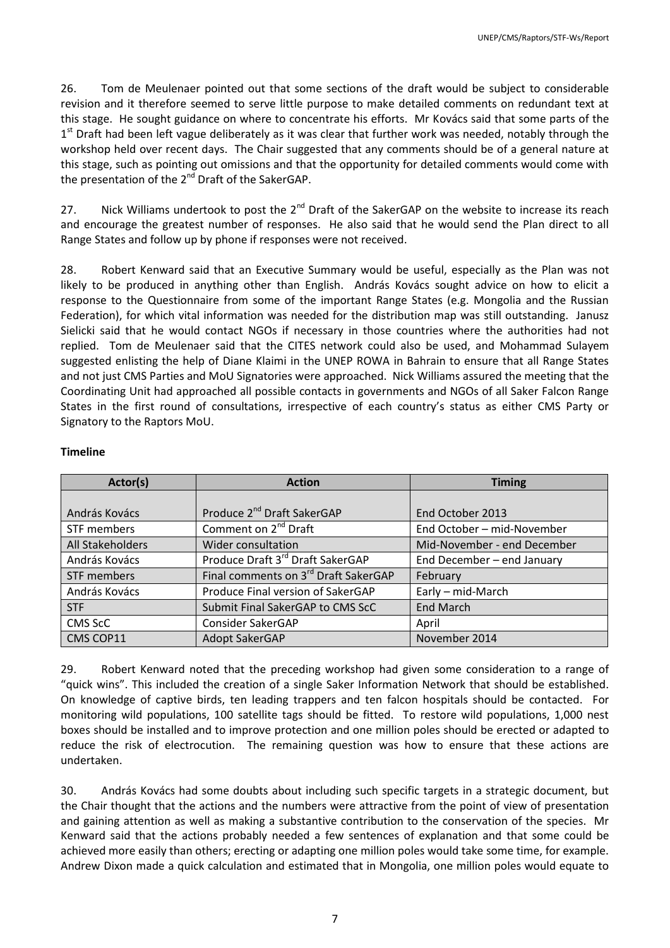26. Tom de Meulenaer pointed out that some sections of the draft would be subject to considerable revision and it therefore seemed to serve little purpose to make detailed comments on redundant text at this stage. He sought guidance on where to concentrate his efforts. Mr Kovács said that some parts of the 1<sup>st</sup> Draft had been left vague deliberately as it was clear that further work was needed, notably through the workshop held over recent days. The Chair suggested that any comments should be of a general nature at this stage, such as pointing out omissions and that the opportunity for detailed comments would come with the presentation of the 2<sup>nd</sup> Draft of the SakerGAP.

27. Nick Williams undertook to post the 2<sup>nd</sup> Draft of the SakerGAP on the website to increase its reach and encourage the greatest number of responses. He also said that he would send the Plan direct to all Range States and follow up by phone if responses were not received.

28. Robert Kenward said that an Executive Summary would be useful, especially as the Plan was not likely to be produced in anything other than English. András Kovács sought advice on how to elicit a response to the Questionnaire from some of the important Range States (e.g. Mongolia and the Russian Federation), for which vital information was needed for the distribution map was still outstanding. Janusz Sielicki said that he would contact NGOs if necessary in those countries where the authorities had not replied. Tom de Meulenaer said that the CITES network could also be used, and Mohammad Sulayem suggested enlisting the help of Diane Klaimi in the UNEP ROWA in Bahrain to ensure that all Range States and not just CMS Parties and MoU Signatories were approached. Nick Williams assured the meeting that the Coordinating Unit had approached all possible contacts in governments and NGOs of all Saker Falcon Range States in the first round of consultations, irrespective of each country's status as either CMS Party or Signatory to the Raptors MoU.

#### **Timeline**

| Actor(s)         | <b>Action</b>                                    | <b>Timing</b>               |
|------------------|--------------------------------------------------|-----------------------------|
|                  |                                                  |                             |
| András Kovács    | Produce 2 <sup>nd</sup> Draft SakerGAP           | End October 2013            |
| STF members      | Comment on 2 <sup>nd</sup> Draft                 | End October - mid-November  |
| All Stakeholders | Wider consultation                               | Mid-November - end December |
| András Kovács    | Produce Draft 3 <sup>rd</sup> Draft SakerGAP     | End December - end January  |
| STF members      | Final comments on 3 <sup>rd</sup> Draft SakerGAP | February                    |
| András Kovács    | Produce Final version of SakerGAP                | Early - mid-March           |
| <b>STF</b>       | Submit Final SakerGAP to CMS ScC                 | <b>End March</b>            |
| CMS ScC          | Consider SakerGAP                                | April                       |
| CMS COP11        | <b>Adopt SakerGAP</b>                            | November 2014               |

29. Robert Kenward noted that the preceding workshop had given some consideration to a range of "quick wins". This included the creation of a single Saker Information Network that should be established. On knowledge of captive birds, ten leading trappers and ten falcon hospitals should be contacted. For monitoring wild populations, 100 satellite tags should be fitted. To restore wild populations, 1,000 nest boxes should be installed and to improve protection and one million poles should be erected or adapted to reduce the risk of electrocution. The remaining question was how to ensure that these actions are undertaken.

30. András Kovács had some doubts about including such specific targets in a strategic document, but the Chair thought that the actions and the numbers were attractive from the point of view of presentation and gaining attention as well as making a substantive contribution to the conservation of the species. Mr Kenward said that the actions probably needed a few sentences of explanation and that some could be achieved more easily than others; erecting or adapting one million poles would take some time, for example. Andrew Dixon made a quick calculation and estimated that in Mongolia, one million poles would equate to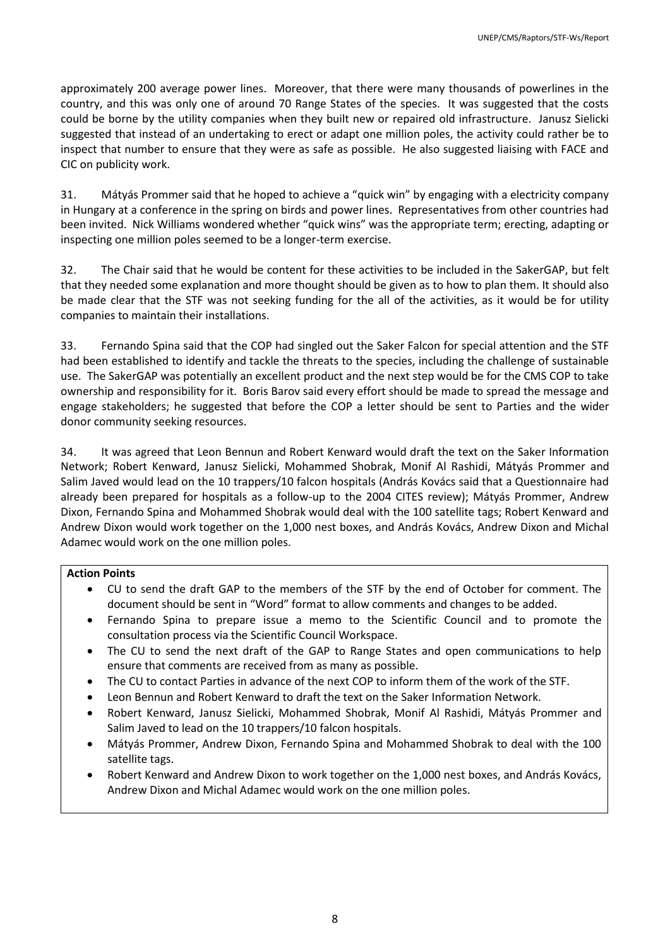approximately 200 average power lines. Moreover, that there were many thousands of powerlines in the country, and this was only one of around 70 Range States of the species. It was suggested that the costs could be borne by the utility companies when they built new or repaired old infrastructure. Janusz Sielicki suggested that instead of an undertaking to erect or adapt one million poles, the activity could rather be to inspect that number to ensure that they were as safe as possible. He also suggested liaising with FACE and CIC on publicity work.

31. Mátyás Prommer said that he hoped to achieve a "quick win" by engaging with a electricity company in Hungary at a conference in the spring on birds and power lines. Representatives from other countries had been invited. Nick Williams wondered whether "quick wins" was the appropriate term; erecting, adapting or inspecting one million poles seemed to be a longer-term exercise.

32. The Chair said that he would be content for these activities to be included in the SakerGAP, but felt that they needed some explanation and more thought should be given as to how to plan them. It should also be made clear that the STF was not seeking funding for the all of the activities, as it would be for utility companies to maintain their installations.

33. Fernando Spina said that the COP had singled out the Saker Falcon for special attention and the STF had been established to identify and tackle the threats to the species, including the challenge of sustainable use. The SakerGAP was potentially an excellent product and the next step would be for the CMS COP to take ownership and responsibility for it. Boris Barov said every effort should be made to spread the message and engage stakeholders; he suggested that before the COP a letter should be sent to Parties and the wider donor community seeking resources.

34. It was agreed that Leon Bennun and Robert Kenward would draft the text on the Saker Information Network; Robert Kenward, Janusz Sielicki, Mohammed Shobrak, Monif Al Rashidi, Mátyás Prommer and Salim Javed would lead on the 10 trappers/10 falcon hospitals (András Kovács said that a Questionnaire had already been prepared for hospitals as a follow-up to the 2004 CITES review); Mátyás Prommer, Andrew Dixon, Fernando Spina and Mohammed Shobrak would deal with the 100 satellite tags; Robert Kenward and Andrew Dixon would work together on the 1,000 nest boxes, and András Kovács, Andrew Dixon and Michal Adamec would work on the one million poles.

# **Action Points**

- CU to send the draft GAP to the members of the STF by the end of October for comment. The document should be sent in "Word" format to allow comments and changes to be added.
- Fernando Spina to prepare issue a memo to the Scientific Council and to promote the consultation process via the Scientific Council Workspace.
- The CU to send the next draft of the GAP to Range States and open communications to help ensure that comments are received from as many as possible.
- The CU to contact Parties in advance of the next COP to inform them of the work of the STF.
- Leon Bennun and Robert Kenward to draft the text on the Saker Information Network.
- Robert Kenward, Janusz Sielicki, Mohammed Shobrak, Monif Al Rashidi, Mátyás Prommer and Salim Javed to lead on the 10 trappers/10 falcon hospitals.
- Mátyás Prommer, Andrew Dixon, Fernando Spina and Mohammed Shobrak to deal with the 100 satellite tags.
- Robert Kenward and Andrew Dixon to work together on the 1,000 nest boxes, and András Kovács, Andrew Dixon and Michal Adamec would work on the one million poles.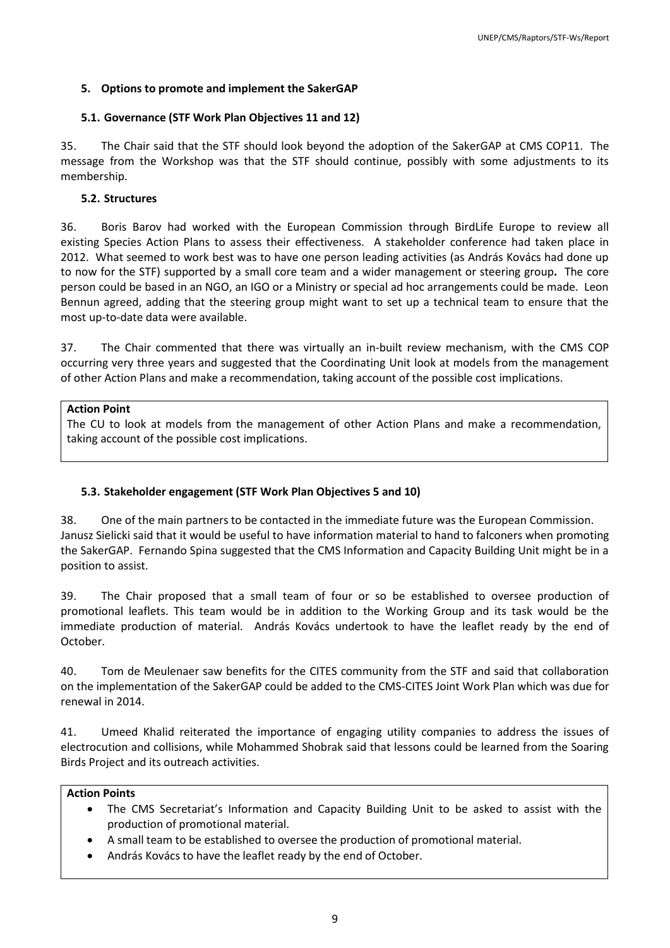# <span id="page-9-0"></span>**5. Options to promote and implement the SakerGAP**

# <span id="page-9-1"></span>**5.1. Governance (STF Work Plan Objectives 11 and 12)**

35. The Chair said that the STF should look beyond the adoption of the SakerGAP at CMS COP11. The message from the Workshop was that the STF should continue, possibly with some adjustments to its membership.

# <span id="page-9-2"></span>**5.2. Structures**

36. Boris Barov had worked with the European Commission through BirdLife Europe to review all existing Species Action Plans to assess their effectiveness. A stakeholder conference had taken place in 2012. What seemed to work best was to have one person leading activities (as András Kovács had done up to now for the STF) supported by a small core team and a wider management or steering group**.** The core person could be based in an NGO, an IGO or a Ministry or special ad hoc arrangements could be made. Leon Bennun agreed, adding that the steering group might want to set up a technical team to ensure that the most up-to-date data were available.

37. The Chair commented that there was virtually an in-built review mechanism, with the CMS COP occurring very three years and suggested that the Coordinating Unit look at models from the management of other Action Plans and make a recommendation, taking account of the possible cost implications.

#### **Action Point**

The CU to look at models from the management of other Action Plans and make a recommendation, taking account of the possible cost implications.

# <span id="page-9-3"></span>**5.3. Stakeholder engagement (STF Work Plan Objectives 5 and 10)**

38. One of the main partners to be contacted in the immediate future was the European Commission. Janusz Sielicki said that it would be useful to have information material to hand to falconers when promoting the SakerGAP. Fernando Spina suggested that the CMS Information and Capacity Building Unit might be in a position to assist.

39. The Chair proposed that a small team of four or so be established to oversee production of promotional leaflets. This team would be in addition to the Working Group and its task would be the immediate production of material. András Kovács undertook to have the leaflet ready by the end of October.

40. Tom de Meulenaer saw benefits for the CITES community from the STF and said that collaboration on the implementation of the SakerGAP could be added to the CMS-CITES Joint Work Plan which was due for renewal in 2014.

41. Umeed Khalid reiterated the importance of engaging utility companies to address the issues of electrocution and collisions, while Mohammed Shobrak said that lessons could be learned from the Soaring Birds Project and its outreach activities.

# **Action Points**

- The CMS Secretariat's Information and Capacity Building Unit to be asked to assist with the production of promotional material.
- A small team to be established to oversee the production of promotional material.
- András Kovács to have the leaflet ready by the end of October.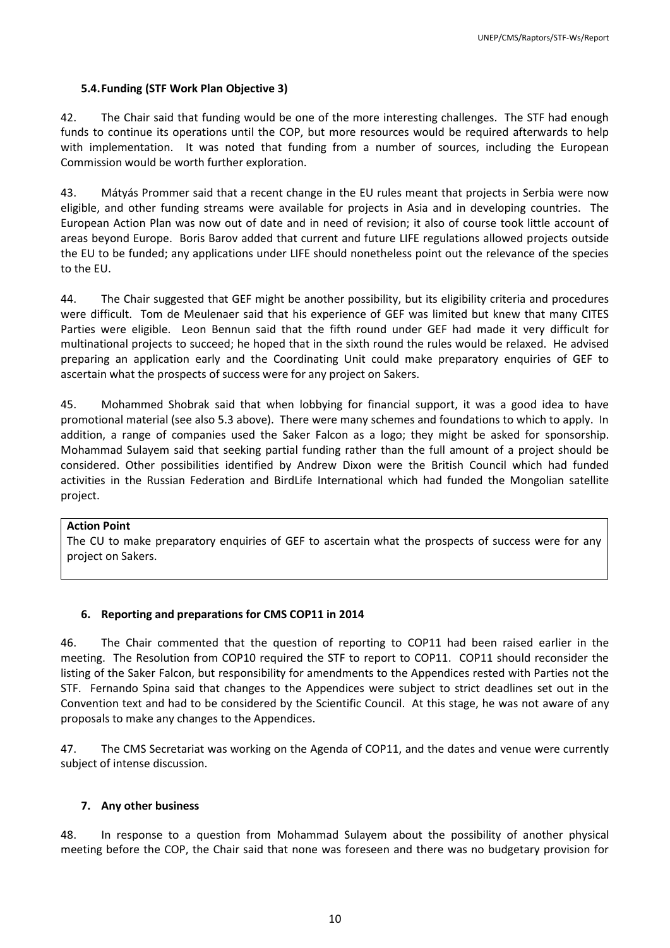#### <span id="page-10-0"></span>**5.4.Funding (STF Work Plan Objective 3)**

42. The Chair said that funding would be one of the more interesting challenges. The STF had enough funds to continue its operations until the COP, but more resources would be required afterwards to help with implementation. It was noted that funding from a number of sources, including the European Commission would be worth further exploration.

43. Mátyás Prommer said that a recent change in the EU rules meant that projects in Serbia were now eligible, and other funding streams were available for projects in Asia and in developing countries. The European Action Plan was now out of date and in need of revision; it also of course took little account of areas beyond Europe. Boris Barov added that current and future LIFE regulations allowed projects outside the EU to be funded; any applications under LIFE should nonetheless point out the relevance of the species to the EU.

44. The Chair suggested that GEF might be another possibility, but its eligibility criteria and procedures were difficult. Tom de Meulenaer said that his experience of GEF was limited but knew that many CITES Parties were eligible. Leon Bennun said that the fifth round under GEF had made it very difficult for multinational projects to succeed; he hoped that in the sixth round the rules would be relaxed. He advised preparing an application early and the Coordinating Unit could make preparatory enquiries of GEF to ascertain what the prospects of success were for any project on Sakers.

45. Mohammed Shobrak said that when lobbying for financial support, it was a good idea to have promotional material (see also 5.3 above). There were many schemes and foundations to which to apply. In addition, a range of companies used the Saker Falcon as a logo; they might be asked for sponsorship. Mohammad Sulayem said that seeking partial funding rather than the full amount of a project should be considered. Other possibilities identified by Andrew Dixon were the British Council which had funded activities in the Russian Federation and BirdLife International which had funded the Mongolian satellite project.

#### **Action Point**

The CU to make preparatory enquiries of GEF to ascertain what the prospects of success were for any project on Sakers.

#### <span id="page-10-1"></span>**6. Reporting and preparations for CMS COP11 in 2014**

46. The Chair commented that the question of reporting to COP11 had been raised earlier in the meeting. The Resolution from COP10 required the STF to report to COP11. COP11 should reconsider the listing of the Saker Falcon, but responsibility for amendments to the Appendices rested with Parties not the STF. Fernando Spina said that changes to the Appendices were subject to strict deadlines set out in the Convention text and had to be considered by the Scientific Council. At this stage, he was not aware of any proposals to make any changes to the Appendices.

<span id="page-10-2"></span>47. The CMS Secretariat was working on the Agenda of COP11, and the dates and venue were currently subject of intense discussion.

#### **7. Any other business**

48. In response to a question from Mohammad Sulayem about the possibility of another physical meeting before the COP, the Chair said that none was foreseen and there was no budgetary provision for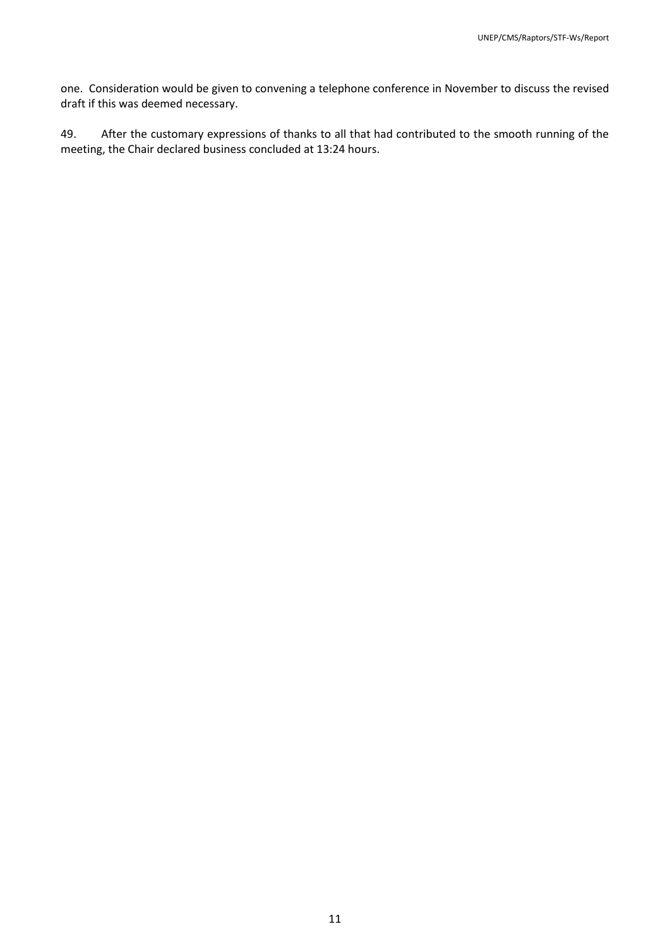one. Consideration would be given to convening a telephone conference in November to discuss the revised draft if this was deemed necessary.

49. After the customary expressions of thanks to all that had contributed to the smooth running of the meeting, the Chair declared business concluded at 13:24 hours.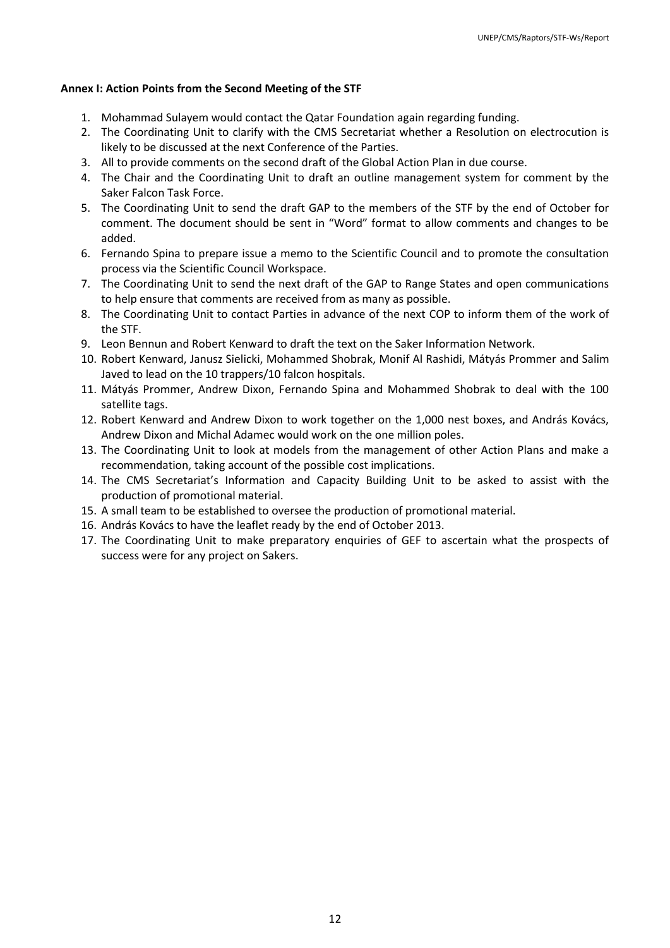#### <span id="page-12-0"></span>**Annex I: Action Points from the Second Meeting of the STF**

- 1. Mohammad Sulayem would contact the Qatar Foundation again regarding funding.
- 2. The Coordinating Unit to clarify with the CMS Secretariat whether a Resolution on electrocution is likely to be discussed at the next Conference of the Parties.
- 3. All to provide comments on the second draft of the Global Action Plan in due course.
- 4. The Chair and the Coordinating Unit to draft an outline management system for comment by the Saker Falcon Task Force.
- 5. The Coordinating Unit to send the draft GAP to the members of the STF by the end of October for comment. The document should be sent in "Word" format to allow comments and changes to be added.
- 6. Fernando Spina to prepare issue a memo to the Scientific Council and to promote the consultation process via the Scientific Council Workspace.
- 7. The Coordinating Unit to send the next draft of the GAP to Range States and open communications to help ensure that comments are received from as many as possible.
- 8. The Coordinating Unit to contact Parties in advance of the next COP to inform them of the work of the STF.
- 9. Leon Bennun and Robert Kenward to draft the text on the Saker Information Network.
- 10. Robert Kenward, Janusz Sielicki, Mohammed Shobrak, Monif Al Rashidi, Mátyás Prommer and Salim Javed to lead on the 10 trappers/10 falcon hospitals.
- 11. Mátyás Prommer, Andrew Dixon, Fernando Spina and Mohammed Shobrak to deal with the 100 satellite tags.
- 12. Robert Kenward and Andrew Dixon to work together on the 1,000 nest boxes, and András Kovács, Andrew Dixon and Michal Adamec would work on the one million poles.
- 13. The Coordinating Unit to look at models from the management of other Action Plans and make a recommendation, taking account of the possible cost implications.
- 14. The CMS Secretariat's Information and Capacity Building Unit to be asked to assist with the production of promotional material.
- 15. A small team to be established to oversee the production of promotional material.
- 16. András Kovács to have the leaflet ready by the end of October 2013.
- 17. The Coordinating Unit to make preparatory enquiries of GEF to ascertain what the prospects of success were for any project on Sakers.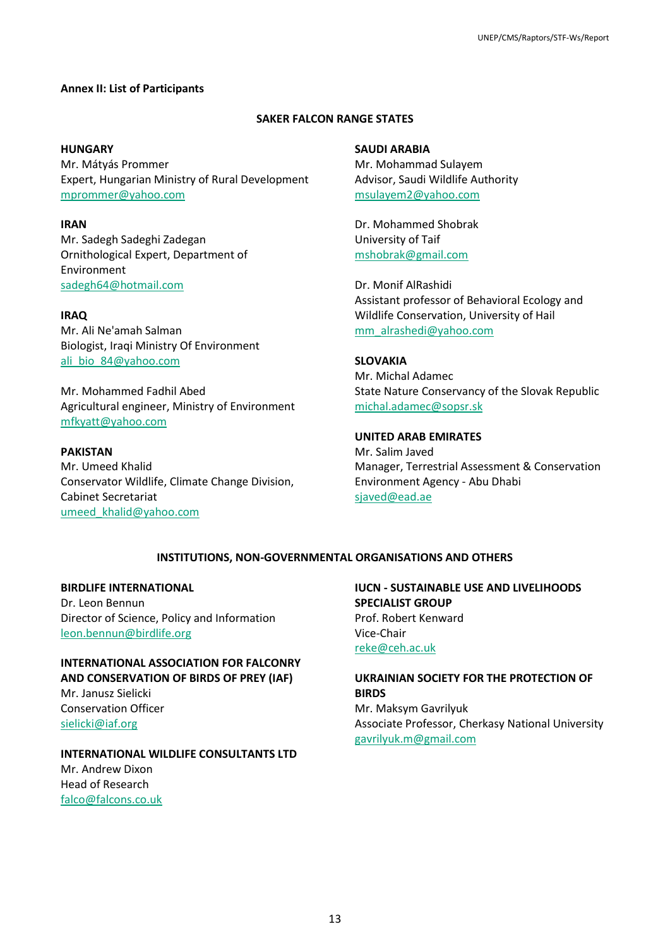#### <span id="page-13-0"></span>**Annex II: List of Participants**

#### **SAKER FALCON RANGE STATES**

#### **HUNGARY**

Mr. Mátyás Prommer Expert, Hungarian Ministry of Rural Development [mprommer@yahoo.com](mailto:mprommer@yahoo.com)

**IRAN** Mr. Sadegh Sadeghi Zadegan Ornithological Expert, Department of Environment [sadegh64@hotmail.com](mailto:sadegh64@hotmail.com)

#### **IRAQ**

Mr. Ali Ne'amah Salman Biologist, Iraqi Ministry Of Environment [ali\\_bio\\_84@yahoo.com](mailto:ali_bio_84@yahoo.com)

Mr. Mohammed Fadhil Abed Agricultural engineer, Ministry of Environment [mfkyatt@yahoo.com](mailto:mfkyatt@yahoo.com)

#### **PAKISTAN**

Mr. Umeed Khalid Conservator Wildlife, Climate Change Division, Cabinet Secretariat [umeed\\_khalid@yahoo.com](mailto:umeed_khalid@yahoo.com)

**SAUDI ARABIA** Mr. Mohammad Sulayem Advisor, Saudi Wildlife Authority [msulayem2@yahoo.com](mailto:msulayem2@yahoo.com)

Dr. Mohammed Shobrak University of Taif [mshobrak@gmail.com](mailto:mshobrak@gmail.com)

Dr. Monif AlRashidi Assistant professor of Behavioral Ecology and Wildlife Conservation, University of Hail [mm\\_alrashedi@yahoo.com](mailto:mm_alrashedi@yahoo.com)

**SLOVAKIA** Mr. Michal Adamec State Nature Conservancy of the Slovak Republic [michal.adamec@sopsr.sk](mailto:michal.adamec@sopsr.sk)

**UNITED ARAB EMIRATES** Mr. Salim Javed Manager, Terrestrial Assessment & Conservation Environment Agency - Abu Dhabi [sjaved@ead.ae](mailto:sjaved@ead.ae)

#### **INSTITUTIONS, NON-GOVERNMENTAL ORGANISATIONS AND OTHERS**

#### **BIRDLIFE INTERNATIONAL**

Dr. Leon Bennun Director of Science, Policy and Information [leon.bennun@birdlife.org](mailto:leon.bennun@birdlife.org)

**INTERNATIONAL ASSOCIATION FOR FALCONRY AND CONSERVATION OF BIRDS OF PREY (IAF)** Mr. Janusz Sielicki Conservation Officer [sielicki@iaf.org](mailto:sielicki@iaf.org)

**INTERNATIONAL WILDLIFE CONSULTANTS LTD** Mr. Andrew Dixon Head of Research [falco@falcons.co.uk](mailto:falco@falcons.co.uk)

**IUCN - SUSTAINABLE USE AND LIVELIHOODS SPECIALIST GROUP** Prof. Robert Kenward Vice-Chair [reke@ceh.ac.uk](mailto:reke@ceh.ac.uk)

**UKRAINIAN SOCIETY FOR THE PROTECTION OF BIRDS** Mr. Maksym Gavrilyuk Associate Professor, Cherkasy National University [gavrilyuk.m@gmail.com](mailto:gavrilyuk.m@gmail.com)